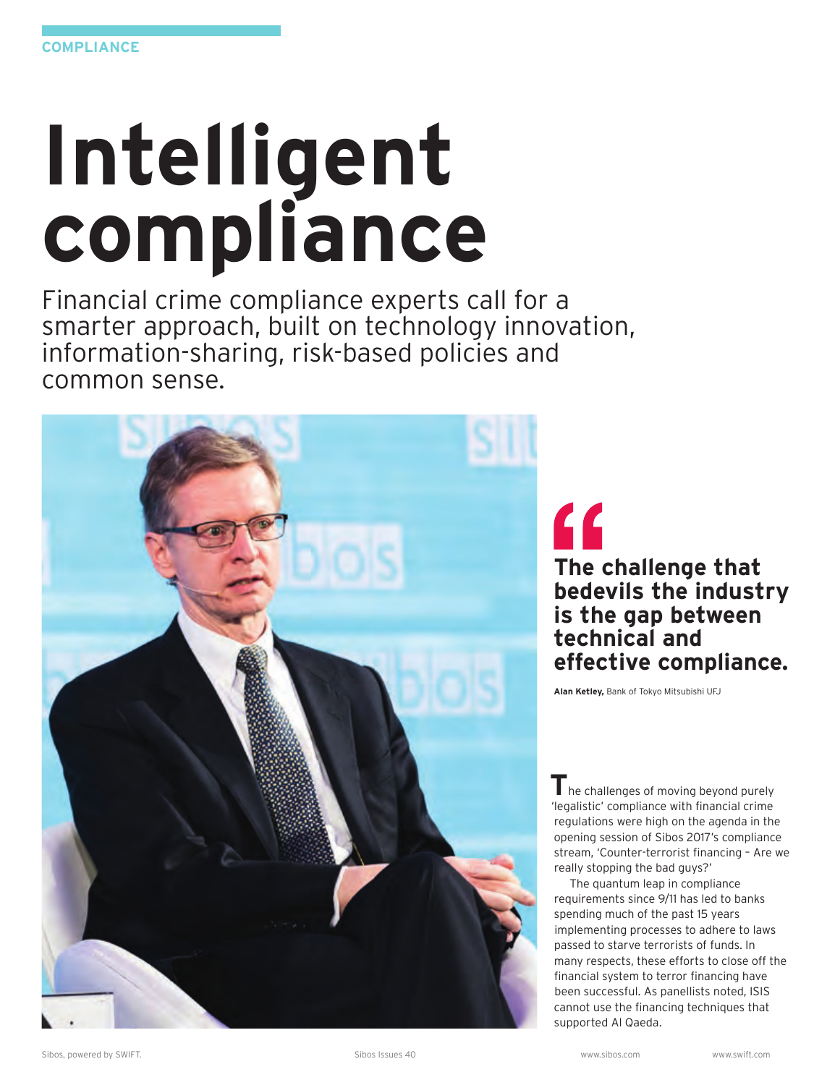# **Intelligent compliance**

Financial crime compliance experts call for a smarter approach, built on technology innovation, information-sharing, risk-based policies and common sense.



# $\epsilon$ **The challenge that bedevils the industry is the gap between technical and effective compliance.**

**Alan Ketley,** Bank of Tokyo Mitsubishi UFJ

**T** he challenges of moving beyond purely 'legalistic' compliance with financial crime regulations were high on the agenda in the opening session of Sibos 2017's compliance stream, 'Counter-terrorist financing – Are we really stopping the bad guys?'

The quantum leap in compliance requirements since 9/11 has led to banks spending much of the past 15 years implementing processes to adhere to laws passed to starve terrorists of funds. In many respects, these efforts to close off the financial system to terror financing have been successful. As panellists noted, ISIS cannot use the financing techniques that supported Al Qaeda.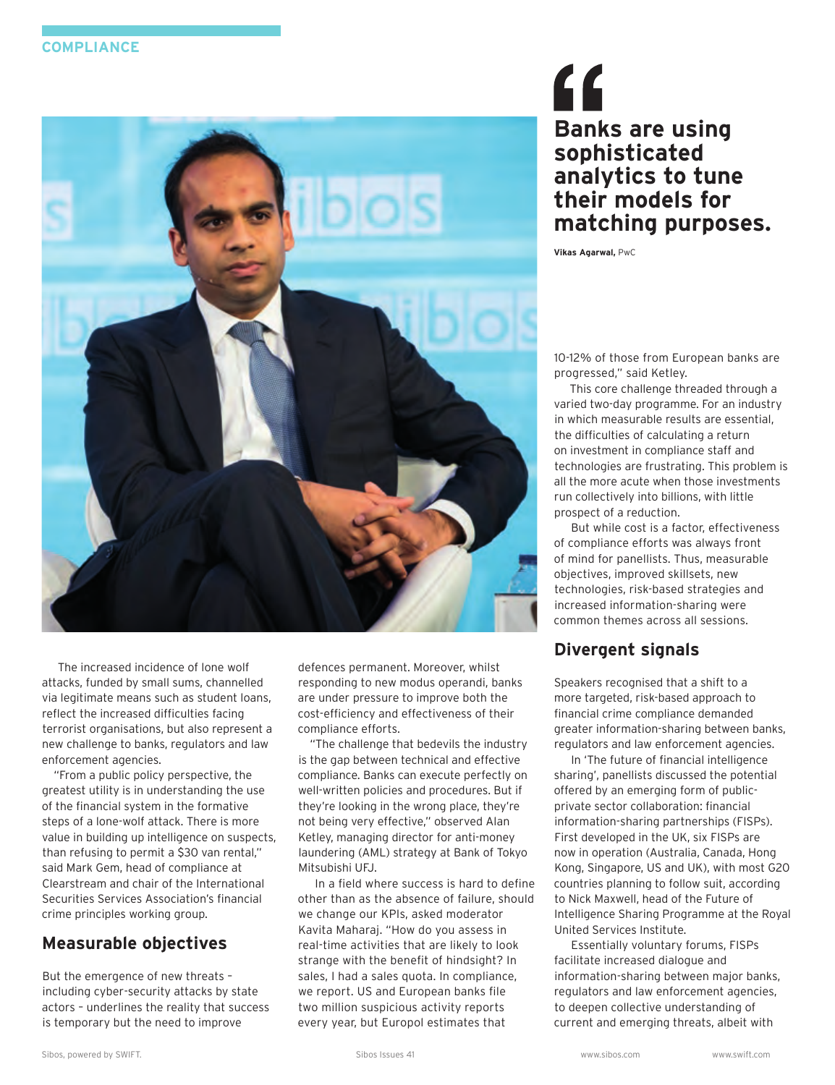

The increased incidence of lone wolf attacks, funded by small sums, channelled via legitimate means such as student loans, reflect the increased difficulties facing terrorist organisations, but also represent a new challenge to banks, regulators and law enforcement agencies.

"From a public policy perspective, the greatest utility is in understanding the use of the financial system in the formative steps of a lone-wolf attack. There is more value in building up intelligence on suspects, than refusing to permit a \$30 van rental," said Mark Gem, head of compliance at Clearstream and chair of the International Securities Services Association's financial crime principles working group.

## **Measurable objectives**

But the emergence of new threats – including cyber-security attacks by state actors – underlines the reality that success is temporary but the need to improve

defences permanent. Moreover, whilst responding to new modus operandi, banks are under pressure to improve both the cost-efficiency and effectiveness of their compliance efforts.

"The challenge that bedevils the industry is the gap between technical and effective compliance. Banks can execute perfectly on well-written policies and procedures. But if they're looking in the wrong place, they're not being very effective," observed Alan Ketley, managing director for anti-money laundering (AML) strategy at Bank of Tokyo Mitsubishi UFJ.

In a field where success is hard to define other than as the absence of failure, should we change our KPIs, asked moderator Kavita Maharaj. "How do you assess in real-time activities that are likely to look strange with the benefit of hindsight? In sales, I had a sales quota. In compliance, we report. US and European banks file two million suspicious activity reports every year, but Europol estimates that

# " **Banks are using sophisticated analytics to tune their models for matching purposes.**

**Vikas Agarwal,** PwC

10-12% of those from European banks are progressed," said Ketley.

This core challenge threaded through a varied two-day programme. For an industry in which measurable results are essential, the difficulties of calculating a return on investment in compliance staff and technologies are frustrating. This problem is all the more acute when those investments run collectively into billions, with little prospect of a reduction.

But while cost is a factor, effectiveness of compliance efforts was always front of mind for panellists. Thus, measurable objectives, improved skillsets, new technologies, risk-based strategies and increased information-sharing were common themes across all sessions.

## **Divergent signals**

Speakers recognised that a shift to a more targeted, risk-based approach to financial crime compliance demanded greater information-sharing between banks, regulators and law enforcement agencies.

In 'The future of financial intelligence sharing', panellists discussed the potential offered by an emerging form of publicprivate sector collaboration: financial information-sharing partnerships (FISPs). First developed in the UK, six FISPs are now in operation (Australia, Canada, Hong Kong, Singapore, US and UK), with most G20 countries planning to follow suit, according to Nick Maxwell, head of the Future of Intelligence Sharing Programme at the Royal United Services Institute.

Essentially voluntary forums, FISPs facilitate increased dialogue and information-sharing between major banks, regulators and law enforcement agencies, to deepen collective understanding of current and emerging threats, albeit with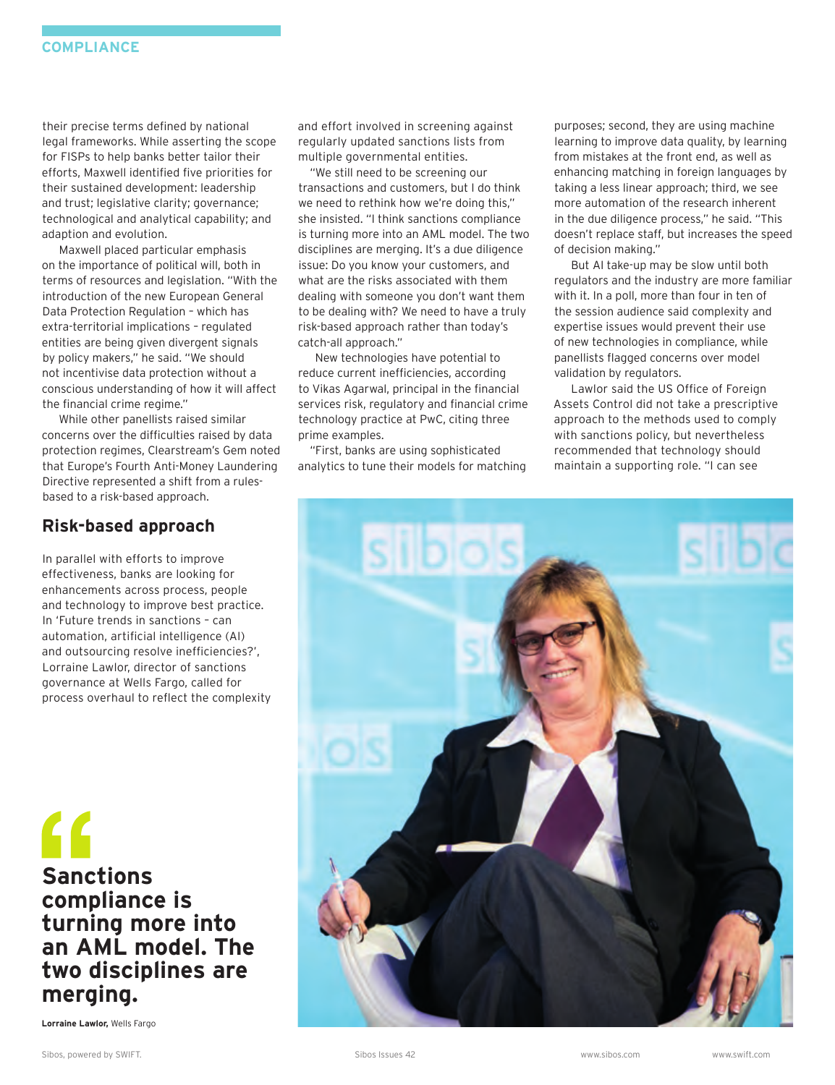their precise terms defined by national legal frameworks. While asserting the scope for FISPs to help banks better tailor their efforts, Maxwell identified five priorities for their sustained development: leadership and trust; legislative clarity; governance; technological and analytical capability; and adaption and evolution.

Maxwell placed particular emphasis on the importance of political will, both in terms of resources and legislation. "With the introduction of the new European General Data Protection Regulation – which has extra-territorial implications – regulated entities are being given divergent signals by policy makers," he said. "We should not incentivise data protection without a conscious understanding of how it will affect the financial crime regime."

While other panellists raised similar concerns over the difficulties raised by data protection regimes, Clearstream's Gem noted that Europe's Fourth Anti-Money Laundering Directive represented a shift from a rulesbased to a risk-based approach.

#### **Risk-based approach**

In parallel with efforts to improve effectiveness, banks are looking for enhancements across process, people and technology to improve best practice. In 'Future trends in sanctions – can automation, artificial intelligence (AI) and outsourcing resolve inefficiencies?', Lorraine Lawlor, director of sanctions governance at Wells Fargo, called for process overhaul to reflect the complexity

**Sanctions compliance is turning more into an AML model. The two disciplines are merging.**

**Lorraine Lawlor,** Wells Fargo

and effort involved in screening against regularly updated sanctions lists from multiple governmental entities.

"We still need to be screening our transactions and customers, but I do think we need to rethink how we're doing this," she insisted. "I think sanctions compliance is turning more into an AML model. The two disciplines are merging. It's a due diligence issue: Do you know your customers, and what are the risks associated with them dealing with someone you don't want them to be dealing with? We need to have a truly risk-based approach rather than today's catch-all approach."

New technologies have potential to reduce current inefficiencies, according to Vikas Agarwal, principal in the financial services risk, regulatory and financial crime technology practice at PwC, citing three prime examples.

"First, banks are using sophisticated analytics to tune their models for matching purposes; second, they are using machine learning to improve data quality, by learning from mistakes at the front end, as well as enhancing matching in foreign languages by taking a less linear approach; third, we see more automation of the research inherent in the due diligence process," he said. "This doesn't replace staff, but increases the speed of decision making."

But AI take-up may be slow until both regulators and the industry are more familiar with it. In a poll, more than four in ten of the session audience said complexity and expertise issues would prevent their use of new technologies in compliance, while panellists flagged concerns over model validation by regulators.

Lawlor said the US Office of Foreign Assets Control did not take a prescriptive approach to the methods used to comply with sanctions policy, but nevertheless recommended that technology should maintain a supporting role. "I can see